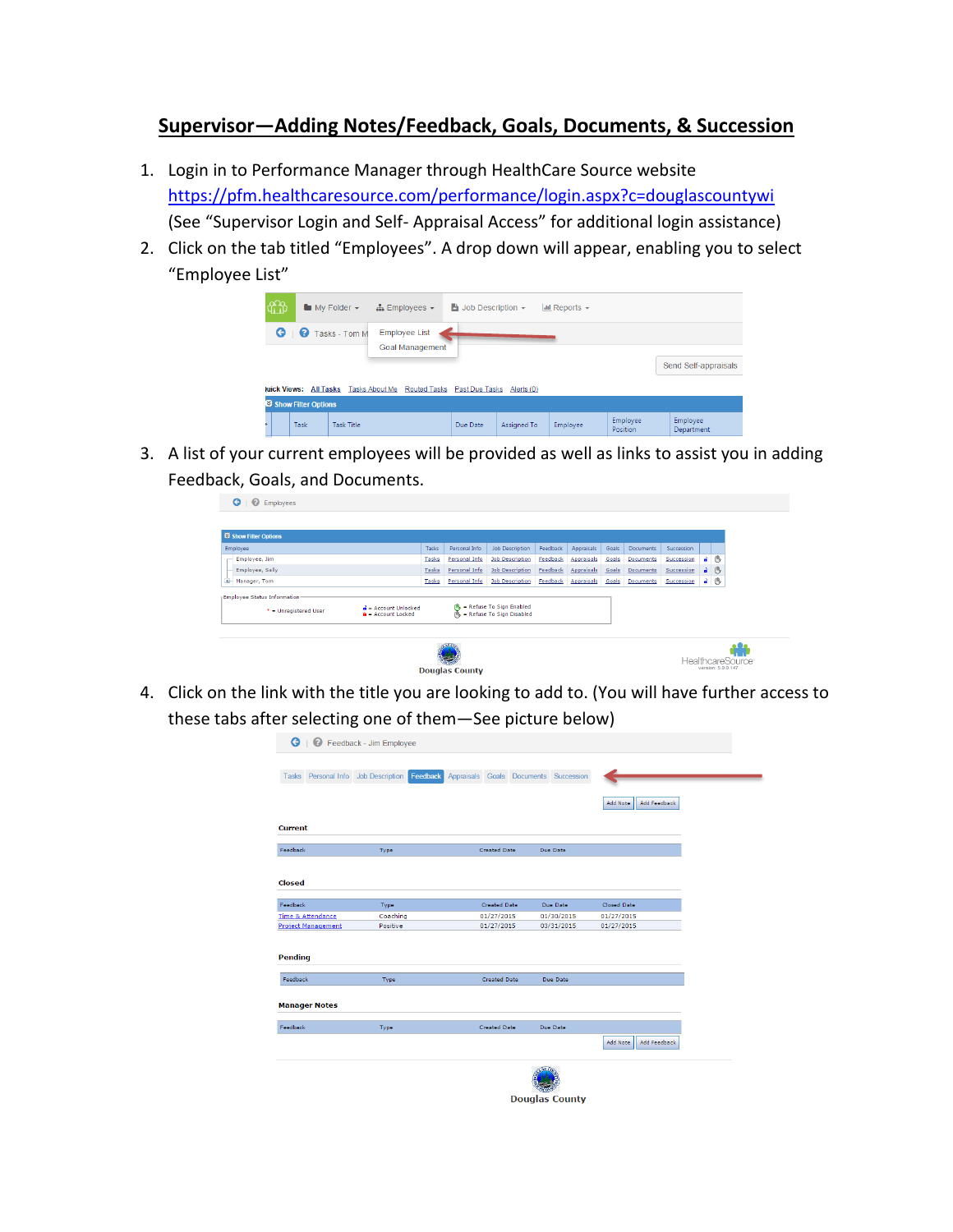# **Supervisor—Adding Notes/Feedback, Goals, Documents, & Succession**

- 1. Login in to Performance Manager through HealthCare Source website <https://pfm.healthcaresource.com/performance/login.aspx?c=douglascountywi> (See "Supervisor Login and Self- Appraisal Access" for additional login assistance)
- 2. Click on the tab titled "Employees". A drop down will appear, enabling you to select "Employee List"

| tt |                        | $\blacksquare$ My Folder $\blacktriangleright$ | $\frac{1}{4}$ Employees $\sim$                 | $\Rightarrow$ Job Description $\sim$ |                    | $\frac{1}{2}$ Reports $\sim$ |                      |                        |
|----|------------------------|------------------------------------------------|------------------------------------------------|--------------------------------------|--------------------|------------------------------|----------------------|------------------------|
|    |                        | <b>G</b>   <b>Q</b> Tasks - Tom M              | <b>Employee List</b><br><b>Goal Management</b> |                                      |                    |                              |                      |                        |
|    |                        | juick Views: All Tasks Tasks About Me          | <b>Routed Tasks</b>                            | Past Due Tasks                       | Alerts (0)         |                              |                      | Send Self-appraisals   |
|    | Si Show Filter Options |                                                |                                                |                                      |                    |                              |                      |                        |
|    | Task                   | <b>Task Title</b>                              |                                                | Due Date                             | <b>Assigned To</b> | Employee                     | Employee<br>Position | Employee<br>Department |

3. A list of your current employees will be provided as well as links to assist you in adding Feedback, Goals, and Documents.

| Si Show Filter Options                                       |                                                                        |       |               |                                                                     |          |                   |       |                  |            |      |   |
|--------------------------------------------------------------|------------------------------------------------------------------------|-------|---------------|---------------------------------------------------------------------|----------|-------------------|-------|------------------|------------|------|---|
| Employee                                                     |                                                                        | Tasks | Personal Info | <b>Job Description</b>                                              | Feedback | Appraisals        | Goals | Documents        | Succession |      |   |
| Employee, Jim                                                |                                                                        | Tasks | Personal Info | <b>Job Description</b>                                              | Feedback | Appraisals        | Goals | Documents        | Succession | $ -$ |   |
| Employee, Sally                                              |                                                                        | Tasks | Personal Info | <b>Job Description</b>                                              | Feedback | <b>Appraisals</b> | Goals | Documents        | Succession | a.   | 心 |
| GH.<br>Manager, Tom                                          |                                                                        | Tasks | Personal Info | <b>Job Description</b>                                              | Feedback | <b>Appraisals</b> | Goals | <b>Documents</b> | Succession | $-8$ |   |
| <b>Employee Status Information-</b><br>* = Unregistered User | $\mathbf{d}$ = Account Unlocked<br>$\hat{\mathbf{a}}$ = Account Locked |       |               | <b>A</b> - Refuse To Sign Enabled<br>$Ms$ = Refuse To Sign Disabled |          |                   |       |                  |            |      |   |
|                                                              |                                                                        |       |               |                                                                     |          |                   |       |                  |            |      |   |

4. Click on the link with the title you are looking to add to. (You will have further access to these tabs after selecting one of them—See picture below)

| <b>G</b>   <b>G</b> Feedback - Jim Employee |          |                                       |                       |                          |
|---------------------------------------------|----------|---------------------------------------|-----------------------|--------------------------|
| Tasks Personal Info Job Description         | Feedback | Appraisals Goals Documents Succession |                       | Add Feedback<br>Add Note |
| <b>Current</b>                              |          |                                       |                       |                          |
| Feedback                                    | Type     | <b>Created Date</b>                   | Due Date              |                          |
| <b>Closed</b>                               |          |                                       |                       |                          |
| Feedback                                    | Type     | Created Date                          | Due Date              | Closed Date              |
| <b>Time &amp; Attendance</b>                | Coaching | 01/27/2015                            | 01/30/2015            | 01/27/2015               |
| <b>Project Management</b>                   | Positive | 01/27/2015                            | 03/31/2015            | 01/27/2015               |
| <b>Pending</b>                              |          |                                       |                       |                          |
| Feedback                                    | Type     | <b>Created Date</b>                   | Due Date              |                          |
| <b>Manager Notes</b>                        |          |                                       |                       |                          |
| Feedback                                    | Type     | <b>Created Date</b>                   | Due Date              |                          |
|                                             |          |                                       |                       | Add Note<br>Add Feedback |
|                                             |          |                                       | <b>Douglas County</b> |                          |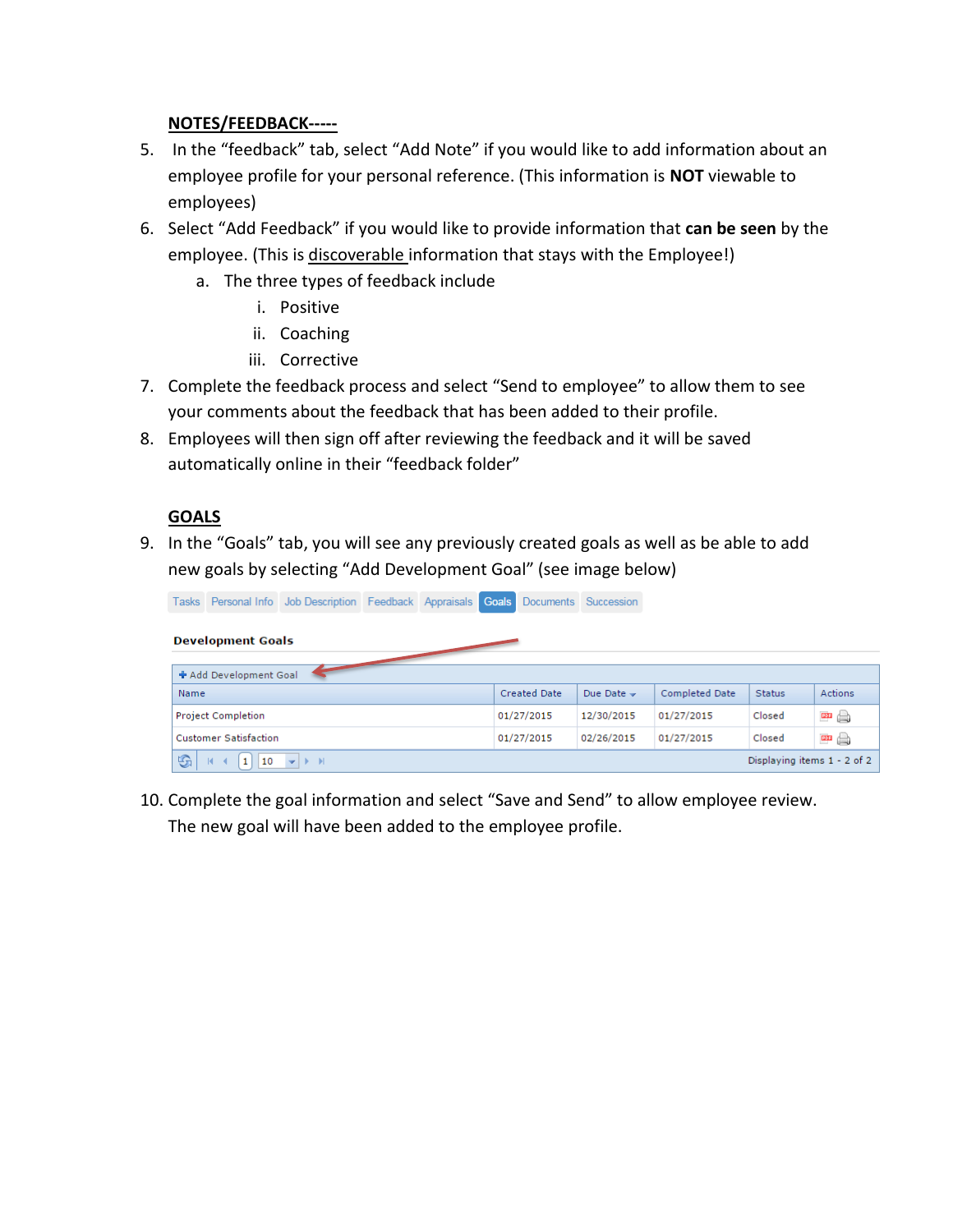### **NOTES/FEEDBACK-----**

- 5. In the "feedback" tab, select "Add Note" if you would like to add information about an employee profile for your personal reference. (This information is **NOT** viewable to employees)
- 6. Select "Add Feedback" if you would like to provide information that **can be seen** by the employee. (This is discoverable information that stays with the Employee!)
	- a. The three types of feedback include
		- i. Positive
		- ii. Coaching
		- iii. Corrective
- 7. Complete the feedback process and select "Send to employee" to allow them to see your comments about the feedback that has been added to their profile.
- 8. Employees will then sign off after reviewing the feedback and it will be saved automatically online in their "feedback folder"

## **GOALS**

9. In the "Goals" tab, you will see any previously created goals as well as be able to add new goals by selecting "Add Development Goal" (see image below)

|      |                               | Tasks Personal Info Job Description Feedback Appraisals Goals                           |  |                     | Documents Succession |                       |                             |         |
|------|-------------------------------|-----------------------------------------------------------------------------------------|--|---------------------|----------------------|-----------------------|-----------------------------|---------|
|      | <b>Development Goals</b>      |                                                                                         |  |                     |                      |                       |                             |         |
|      | + Add Development Goal        |                                                                                         |  |                     |                      |                       |                             |         |
| Name |                               |                                                                                         |  | <b>Created Date</b> | Due Date $\sim$      | <b>Completed Date</b> | <b>Status</b>               | Actions |
|      | <b>Project Completion</b>     |                                                                                         |  | 01/27/2015          | 12/30/2015           | 01/27/2015            | Closed                      | 四       |
|      | <b>Customer Satisfaction</b>  |                                                                                         |  | 01/27/2015          | 02/26/2015           | 01/27/2015            | Closed                      | 四日      |
| G    | 1<br>10<br>$\mathbb{R}$<br>-4 | $\blacktriangleright$ $\blacktriangleright$ $\blacktriangleright$ $\blacktriangleright$ |  |                     |                      |                       | Displaying items 1 - 2 of 2 |         |

10. Complete the goal information and select "Save and Send" to allow employee review. The new goal will have been added to the employee profile.